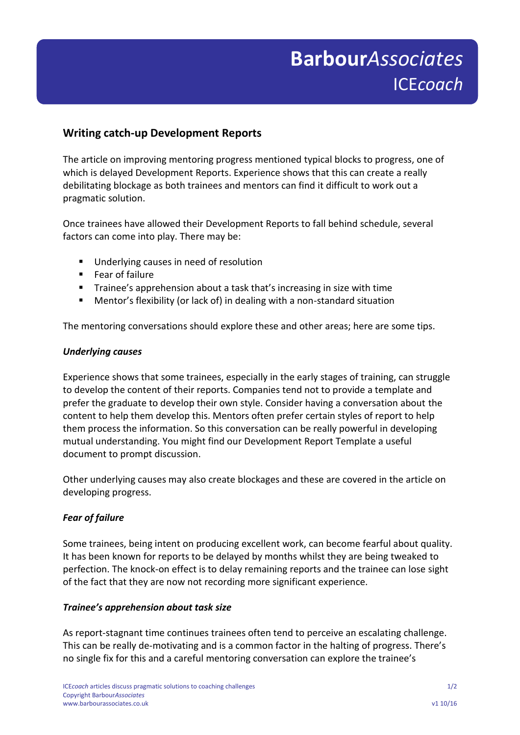# **Writing catch-up Development Reports**

The article on improving mentoring progress mentioned typical blocks to progress, one of which is delayed Development Reports. Experience shows that this can create a really debilitating blockage as both trainees and mentors can find it difficult to work out a pragmatic solution.

Once trainees have allowed their Development Reports to fall behind schedule, several factors can come into play. There may be:

- **Underlying causes in need of resolution**
- **Fear of failure**
- **Trainee's apprehension about a task that's increasing in size with time**
- Mentor's flexibility (or lack of) in dealing with a non-standard situation

The mentoring conversations should explore these and other areas; here are some tips.

#### *Underlying causes*

Experience shows that some trainees, especially in the early stages of training, can struggle to develop the content of their reports. Companies tend not to provide a template and prefer the graduate to develop their own style. Consider having a conversation about the content to help them develop this. Mentors often prefer certain styles of report to help them process the information. So this conversation can be really powerful in developing mutual understanding. You might find our Development Report Template a useful document to prompt discussion.

Other underlying causes may also create blockages and these are covered in the article on developing progress.

#### *Fear of failure*

Some trainees, being intent on producing excellent work, can become fearful about quality. It has been known for reports to be delayed by months whilst they are being tweaked to perfection. The knock-on effect is to delay remaining reports and the trainee can lose sight of the fact that they are now not recording more significant experience.

#### *Trainee's apprehension about task size*

As report-stagnant time continues trainees often tend to perceive an escalating challenge. This can be really de-motivating and is a common factor in the halting of progress. There's no single fix for this and a careful mentoring conversation can explore the trainee's